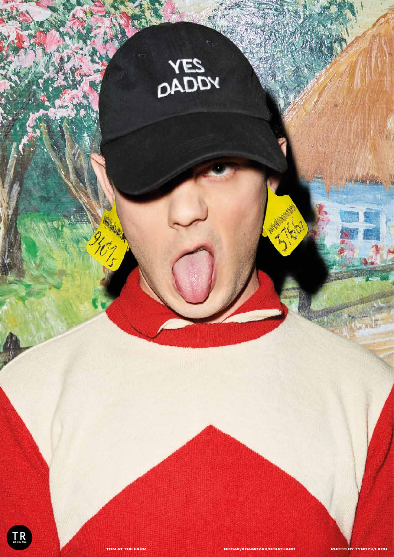



a sa Barta

TOM AT THE FARM RODAK/ADAMCZAK/BOUCHARD PHOTO BY TYNDYK/LACH

*CARD AND RESERVE*